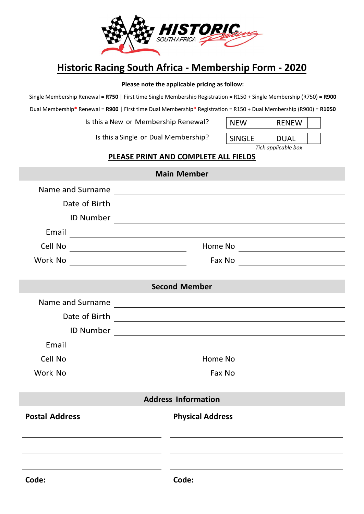

# **Historic Racing South Africa - Membership Form - 2020**

#### **Please note the applicable pricing as follow:**

Single Membership Renewal = **R750** | First time Single Membership Registration = R150 + Single Membership (R750) = **R900**

Dual Membership**\*** Renewal = **R900** | First time Dual Membership**\*** Registration = R150 + Dual Membership (R900) = **R1050**

Is this a New or Membership Renewal?  $\|\cdot\|$ 

Is this a Single or Dual Membership?  $\boxed{\text{SINGLE}}$  DUAL

| NFW    | <b>RENEW</b> |  |
|--------|--------------|--|
|        |              |  |
| `````` | <b></b>      |  |

*Tick applicable box*

#### **PLEASE PRINT AND COMPLETE ALL FIELDS**

| <b>Main Member</b>    |                                                                                                                                                                                                                                      |         |  |  |  |
|-----------------------|--------------------------------------------------------------------------------------------------------------------------------------------------------------------------------------------------------------------------------------|---------|--|--|--|
| Name and Surname      | <u> 1989 - Johann Stein, markin fan it ferstjer fan de ferstjer fan it ferstjer fan de ferstjer fan de ferstjer</u>                                                                                                                  |         |  |  |  |
| Date of Birth         |                                                                                                                                                                                                                                      |         |  |  |  |
|                       |                                                                                                                                                                                                                                      |         |  |  |  |
|                       | Email experience and the set of the set of the set of the set of the set of the set of the set of the set of the set of the set of the set of the set of the set of the set of the set of the set of the set of the set of the       |         |  |  |  |
| Cell No               | <u> 1980 - Johann Barn, fransk politik (d. 1980)</u>                                                                                                                                                                                 | Home No |  |  |  |
|                       | Work No _________________________________                                                                                                                                                                                            |         |  |  |  |
|                       |                                                                                                                                                                                                                                      |         |  |  |  |
|                       | <b>Second Member</b>                                                                                                                                                                                                                 |         |  |  |  |
| Name and Surname      | <u> 1989 - Johann Stoff, deutscher Stoffen und der Stoffen und der Stoffen und der Stoffen und der Stoffen und der</u>                                                                                                               |         |  |  |  |
|                       |                                                                                                                                                                                                                                      |         |  |  |  |
|                       |                                                                                                                                                                                                                                      |         |  |  |  |
|                       | Email <b>Exercise Contract Contract Contract Contract Contract Contract Contract Contract Contract Contract Contract Contract Contract Contract Contract Contract Contract Contract Contract Contract Contract Contract Contract</b> |         |  |  |  |
| Cell No               |                                                                                                                                                                                                                                      |         |  |  |  |
| Work No               |                                                                                                                                                                                                                                      |         |  |  |  |
|                       |                                                                                                                                                                                                                                      |         |  |  |  |
|                       | <b>Address Information</b>                                                                                                                                                                                                           |         |  |  |  |
| <b>Postal Address</b> | <b>Physical Address</b>                                                                                                                                                                                                              |         |  |  |  |
|                       |                                                                                                                                                                                                                                      |         |  |  |  |
|                       |                                                                                                                                                                                                                                      |         |  |  |  |
|                       |                                                                                                                                                                                                                                      |         |  |  |  |
| Code:                 | Code:                                                                                                                                                                                                                                |         |  |  |  |